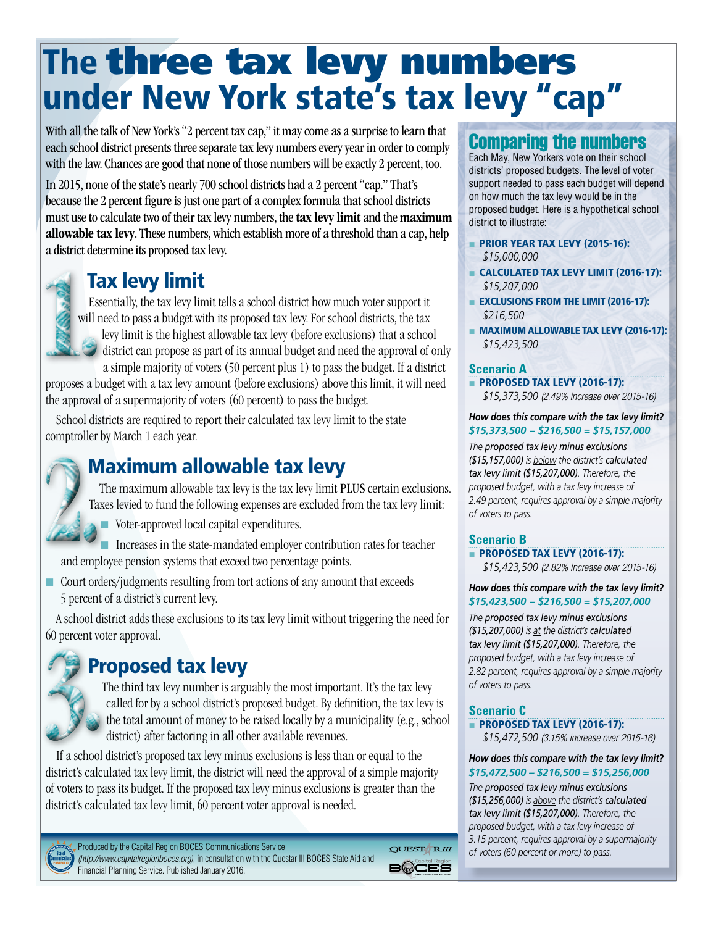# The three tax levy numbers under New York state's tax levy "cap"

With all the talk of New York's "2 percent tax cap," it may come as a surprise to learn that each school district presents three separate tax levy numbers every year in order to comply with the law. Chances are good that none of those numbers will be exactly 2 percent, too.

In 2015, none of the state's nearly 700 school districts had a 2 percent "cap." That's because the 2 percent figure is just one part of a complex formula that school districts must use to calculate two of their tax levy numbers, the tax levy limit and the maximum allowable tax levy. These numbers, which establish more of a threshold than a cap, help a district determine its proposed tax levy.

### Tax levy limit



Essentially, the tax levy limit tells a school district how much voter support it will need to pass a budget with its proposed tax levy. For school districts, the tax levy limit is the highest allowable tax levy (before exclusions) that a school district can propose as part of its annual budget and need the approval of only

a simple majority of voters (50 percent plus 1) to pass the budget. If a district proposes a budget with a tax levy amount (before exclusions) above this limit, it will need the approval of a supermajority of voters (60 percent) to pass the budget.

School districts are required to report their calculated tax levy limit to the state comptroller by March 1 each year.

### Maximum allowable tax levy

The maximum allowable tax levy is the tax levy limit PLUS certain exclusions. Taxes levied to fund the following expenses are excluded from the tax levy limit:

■ Voter-approved local capital expenditures.

■ Increases in the state-mandated employer contribution rates for teacher and employee pension systems that exceed two percentage points.

■ Court orders/judgments resulting from tort actions of any amount that exceeds 5 percent of a district's current levy.

A school district adds these exclusions to its tax levy limit without triggering the need for 60 percent voter approval.

## Proposed tax levy

The third tax levy number is arguably the most important. It's the tax levy called for by a school district's proposed budget. By definition, the tax levy is the total amount of money to be raised locally by a municipality (e.g., school district) after factoring in all other available revenues.

If a school district's proposed tax levy minus exclusions is less than or equal to the district's calculated tax levy limit, the district will need the approval of a simple majority of voters to pass its budget. If the proposed tax levy minus exclusions is greater than the district's calculated tax levy limit, 60 percent voter approval is needed.



Produced by the Capital Region BOCES Communications Service QUEST<sup>A</sup>RIII *(http://www.capitalregionboces.org)*, in consultation with the Questar III BOCES State Aid and **B**@CES Financial Planning Service. Published January 2016.

### Comparing the numbers

Each May, New Yorkers vote on their school districts' proposed budgets. The level of voter support needed to pass each budget will depend on how much the tax levy would be in the proposed budget. Here is a hypothetical school district to illustrate:

- PRIOR YEAR TAX LEVY (2015-16): *\$15,000,000*
- CALCULATED TAX LEVY LIMIT (2016-17): *\$15,207,000*
- EXCLUSIONS FROM THE LIMIT (2016-17): *\$216,500*
- MAXIMUM ALLOWABLE TAX LEVY (2016-17): *\$15,423,500*

#### **Scenario A**

■ PROPOSED TAX LEVY (2016-17):

*\$15,373,500 (2.49% increase over 2015-16)*

*How does this compare with the tax levy limit? \$15,373,500 − \$216,500 = \$15,157,000*

*The proposed tax levy minus exclusions (\$15,157,000) is below the district's calculated tax levy limit (\$15,207,000). Therefore, the proposed budget, with a tax levy increase of 2.49 percent, requires approval by a simple majority of voters to pass.*

#### **Scenario B**

■ PROPOSED TAX LEVY (2016-17):

*\$15,423,500 (2.82% increase over 2015-16)*

#### *How does this compare with the tax levy limit? \$15,423,500 − \$216,500 = \$15,207,000*

*The proposed tax levy minus exclusions (\$15,207,000) is at the district's calculated tax levy limit (\$15,207,000). Therefore, the proposed budget, with a tax levy increase of 2.82 percent, requires approval by a simple majority of voters to pass.*

#### **Scenario C** ■ PROPOSED TAX LEVY (2016-17):

*\$15,472,500 (3.15% increase over 2015-16)*

*How does this compare with the tax levy limit? \$15,472,500 – \$216,500 = \$15,256,000*

*The proposed tax levy minus exclusions (\$15,256,000) is above the district's calculated tax levy limit (\$15,207,000). Therefore, the proposed budget, with a tax levy increase of 3.15 percent, requires approval by a supermajority of voters (60 percent or more) to pass.*